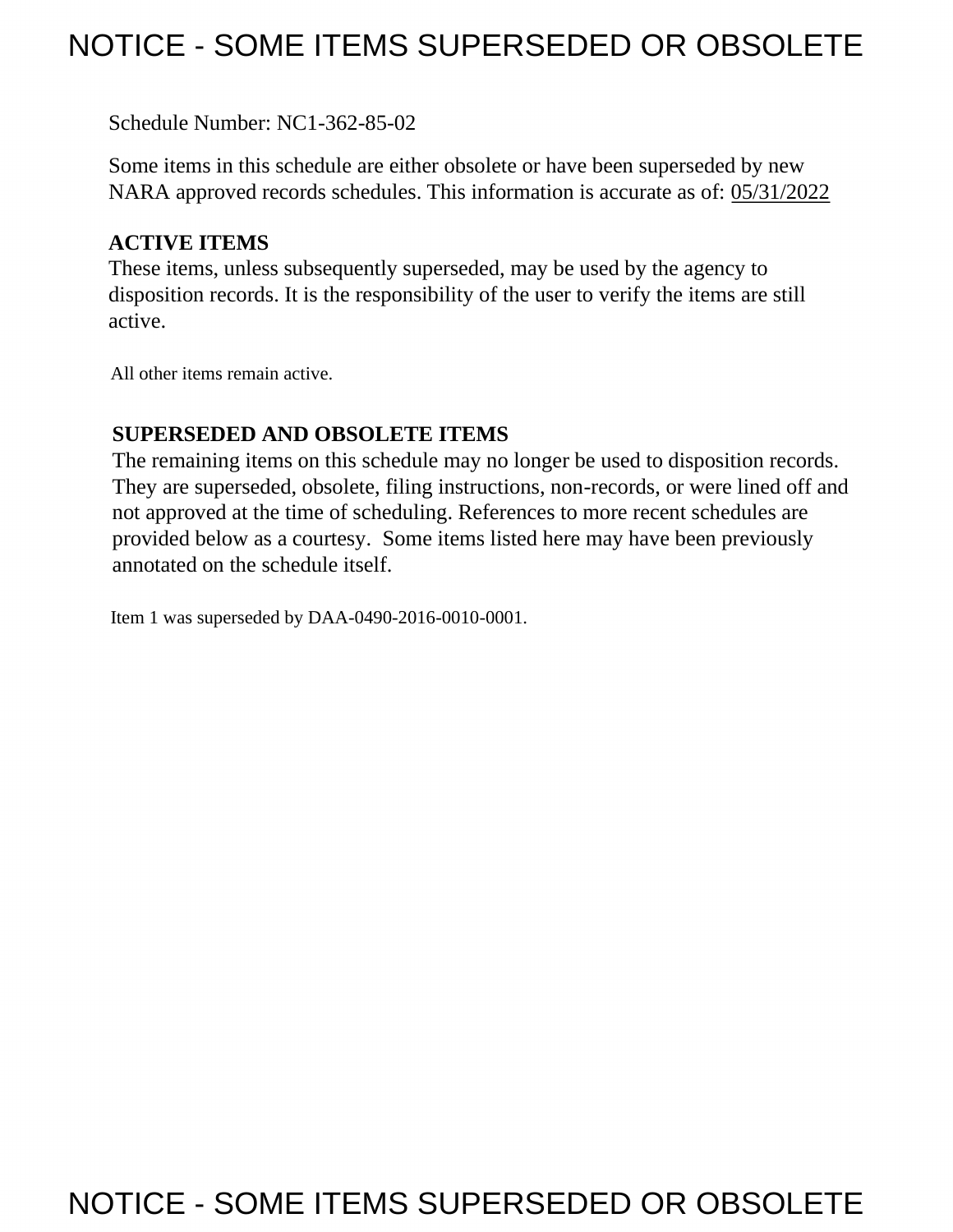## NOTICE - SOME ITEMS SUPERSEDED OR OBSOLETE

Schedule Number: NC1-362-85-02

 Some items in this schedule are either obsolete or have been superseded by new NARA approved records schedules. This information is accurate as of: 05/31/2022

## **ACTIVE ITEMS**

 These items, unless subsequently superseded, may be used by the agency to disposition records. It is the responsibility of the user to verify the items are still active.

All other items remain active.

## **SUPERSEDED AND OBSOLETE ITEMS**

 The remaining items on this schedule may no longer be used to disposition records. not approved at the time of scheduling. References to more recent schedules are provided below as a courtesy. Some items listed here may have been previously They are superseded, obsolete, filing instructions, non-records, or were lined off and annotated on the schedule itself.

Item 1 was superseded by DAA-0490-2016-0010-0001.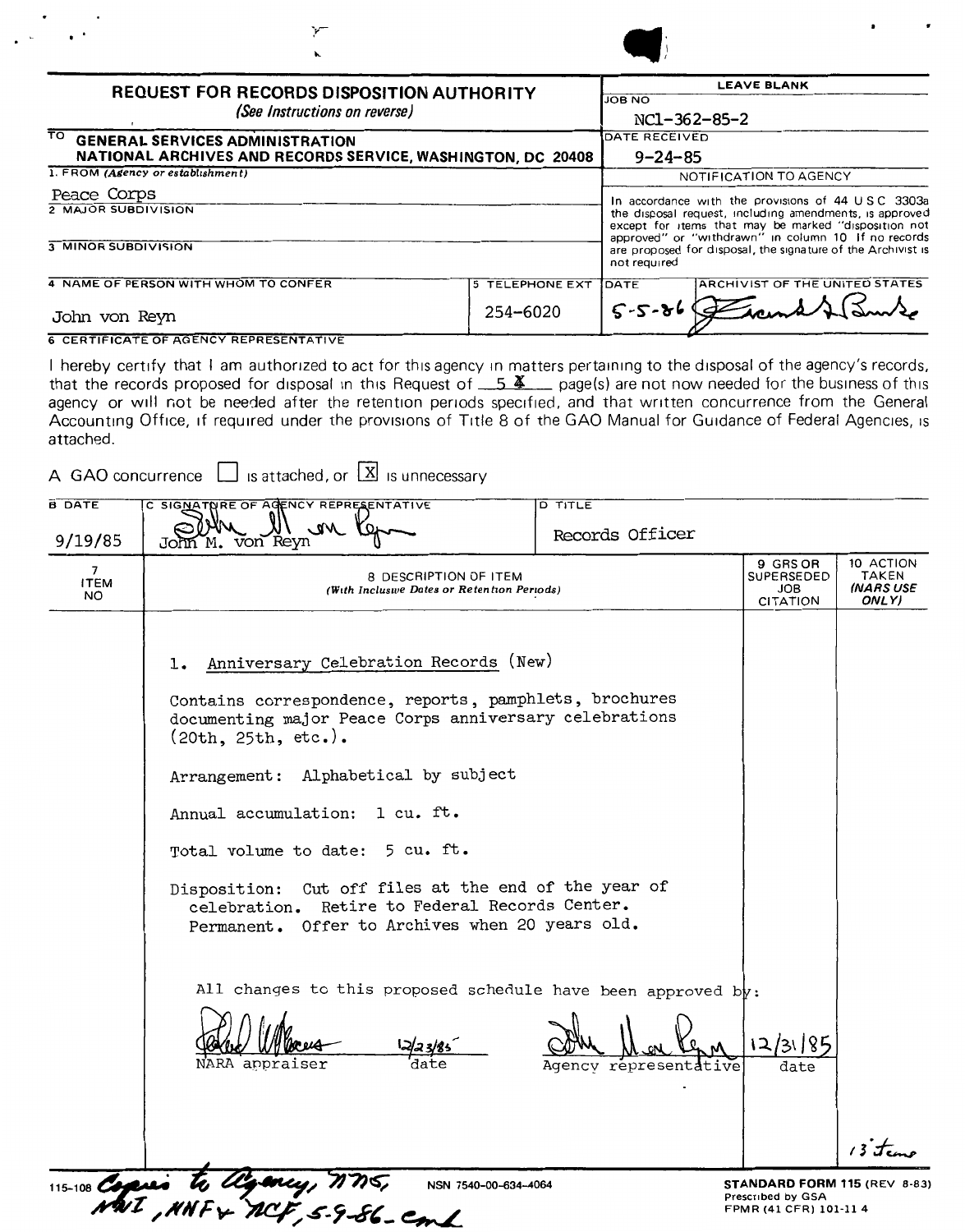| <b>REQUEST FOR RECORDS DISPOSITION AUTHORITY</b><br>(See Instructions on reverse) |                        | <b>LEAVE BLANK</b>                                                                                                                                                                          |                                                                                                              |  |  |
|-----------------------------------------------------------------------------------|------------------------|---------------------------------------------------------------------------------------------------------------------------------------------------------------------------------------------|--------------------------------------------------------------------------------------------------------------|--|--|
|                                                                                   |                        | <b>JOB NO</b>                                                                                                                                                                               |                                                                                                              |  |  |
|                                                                                   |                        | NC1-362-85-2                                                                                                                                                                                |                                                                                                              |  |  |
| TO GENERAL SERVICES ADMINISTRATION                                                |                        | DATE RECEIVED                                                                                                                                                                               |                                                                                                              |  |  |
| NATIONAL ARCHIVES AND RECORDS SERVICE, WASHINGTON, DC 20408                       |                        | $9 - 24 - 85$                                                                                                                                                                               |                                                                                                              |  |  |
| 1. FROM (Agency or establishment)                                                 |                        |                                                                                                                                                                                             | NOTIFICATION TO AGENCY                                                                                       |  |  |
| Peace Corps<br>2 MAJOR SUBDIVISION                                                |                        |                                                                                                                                                                                             | In accordance with the provisions of 44 USC 3303a<br>the disposal request, including amendments, is approved |  |  |
|                                                                                   |                        | except for items that may be marked "disposition not<br>approved" or "withdrawn" in column 10 If no records<br>are proposed for disposal, the signature of the Archivist is<br>not required |                                                                                                              |  |  |
| <b>3 MINOR SUBDIVISION</b>                                                        |                        |                                                                                                                                                                                             |                                                                                                              |  |  |
| 4 NAME OF PERSON WITH WHOM TO CONFER                                              | <b>5 TELEPHONE EXT</b> | <b>IDATE</b>                                                                                                                                                                                | <b>ARCHIVIST OF THE UNITED STATES</b>                                                                        |  |  |
| John von Reyn                                                                     | 254-6020               | $5 - 5 - 86$                                                                                                                                                                                |                                                                                                              |  |  |
| <b>6 CERTIFICATE OF AGENCY REPRESENTATIVE</b>                                     |                        |                                                                                                                                                                                             |                                                                                                              |  |  |

I hereby certify that I am authorized to act for this agency in matters pertaining to the disposal of the agency's records, that the records proposed for disposal in this Request of  $-5$   $\frac{X}{2}$  page(s) are not now needed for the business of this agency or will not be needed after the retention periods specified, and that written concurrence from the General Accounting Office, if required under the provisions of Title 8 of the GAO Manual for Guidance of Federal Agencies, is attached.

A GAO concurrence  $\Box$  is attached, or  $\boxed{\mathbf{X}}$  is unnecessary

| <b>B DATE</b>           | C SIGNATNRE OF AGENCY REPRESENTATIVE                                                                                                                                                                                                                                                                                                                                                                                                                             | <b>D TITLE</b>        |                                                                             |                                          |
|-------------------------|------------------------------------------------------------------------------------------------------------------------------------------------------------------------------------------------------------------------------------------------------------------------------------------------------------------------------------------------------------------------------------------------------------------------------------------------------------------|-----------------------|-----------------------------------------------------------------------------|------------------------------------------|
| 9/19/85                 | $\mathcal{M}$<br>John M. von Reyn                                                                                                                                                                                                                                                                                                                                                                                                                                | Records Officer       |                                                                             |                                          |
| 7<br><b>ITEM</b><br>NO. | 8 DESCRIPTION OF ITEM<br>(With Inclusive Dates or Retention Periods)                                                                                                                                                                                                                                                                                                                                                                                             |                       | 9 GRS OR<br>SUPERSEDED<br>JOB<br>CITATION                                   | 10 ACTION<br>TAKEN<br>(NARS USE<br>ONLY) |
|                         | Anniversary Celebration Records (New)<br>1.<br>Contains correspondence, reports, pamphlets, brochures<br>documenting major Peace Corps anniversary celebrations<br>(20th, 25th, etc.).<br>Arrangement: Alphabetical by subject<br>Annual accumulation: 1 cu. ft.<br>Total volume to date: 5 cu. ft.<br>Disposition: Cut off files at the end of the year of<br>celebration. Retire to Federal Records Center.<br>Permanent. Offer to Archives when 20 years old. |                       |                                                                             |                                          |
|                         | All changes to this proposed schedule have been approved by:<br>NARA appraiser                                                                                                                                                                                                                                                                                                                                                                                   | Agency representative | date                                                                        | $i$ if $t_{\rm em}$                      |
|                         | 115-108 Copies to algency, MMS, NSN 75<br>NSN 7540-00-634-4064                                                                                                                                                                                                                                                                                                                                                                                                   |                       | STANDARD FORM 115 (REV 8-83)<br>Prescribed by GSA<br>FPMR (41 CFR) 101-11 4 |                                          |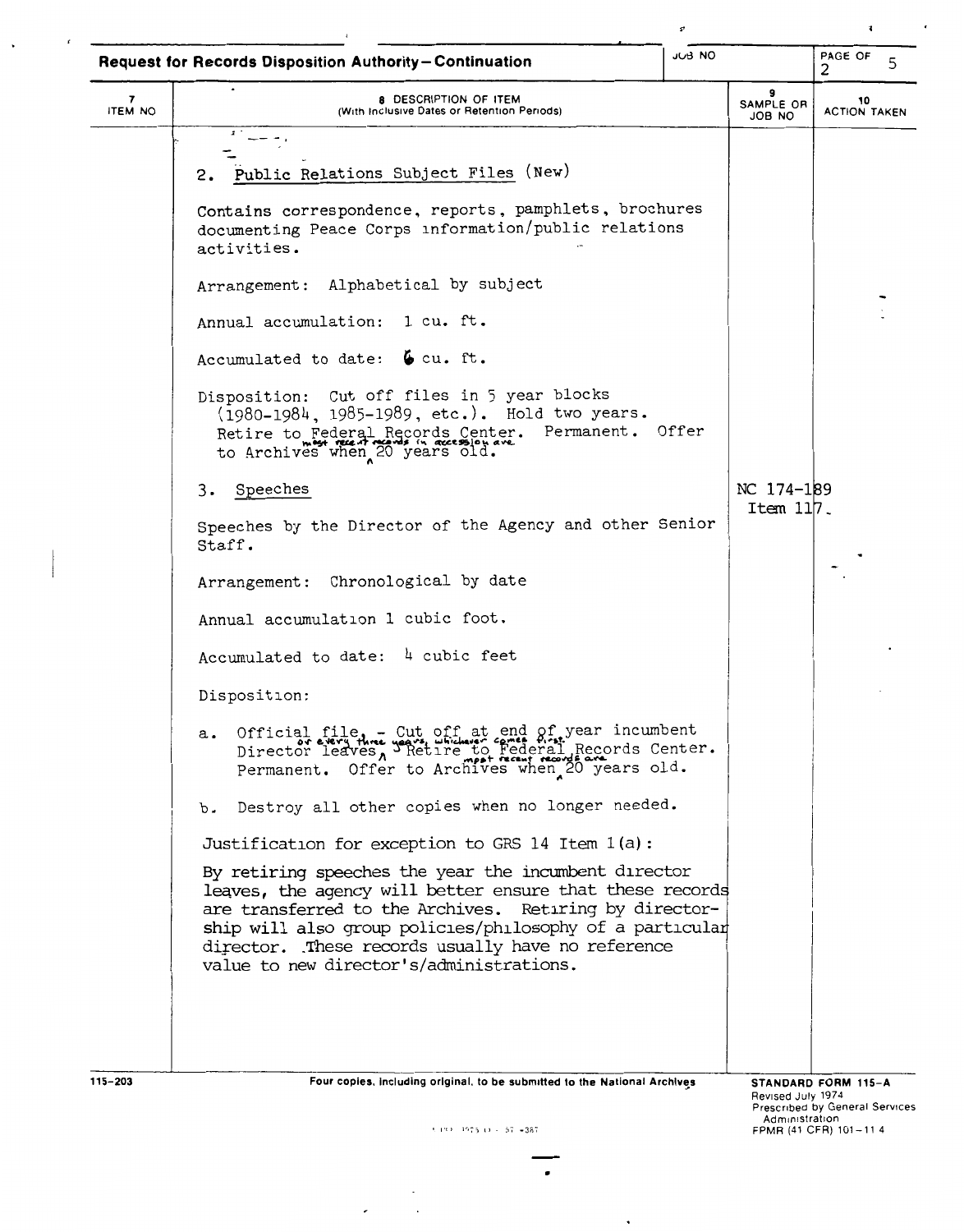|                     | <b>Request for Records Disposition Authority-Continuation</b>                                                                                                                                                                                                                                                                           | JUB NO |                                     | PAGE OF<br>5                                                 |
|---------------------|-----------------------------------------------------------------------------------------------------------------------------------------------------------------------------------------------------------------------------------------------------------------------------------------------------------------------------------------|--------|-------------------------------------|--------------------------------------------------------------|
| 7<br><b>ITEM NO</b> | 8 DESCRIPTION OF ITEM<br>(With Inclusive Dates or Retention Periods)                                                                                                                                                                                                                                                                    |        | 9<br>SAMPLE OR<br>JOB NO            | 10<br><b>ACTION TAKEN</b>                                    |
|                     |                                                                                                                                                                                                                                                                                                                                         |        |                                     |                                                              |
|                     | 2. Public Relations Subject Files (New)                                                                                                                                                                                                                                                                                                 |        |                                     |                                                              |
|                     | Contains correspondence, reports, pamphlets, brochures<br>documenting Peace Corps information/public relations<br>activities.                                                                                                                                                                                                           |        |                                     |                                                              |
|                     | Arrangement: Alphabetical by subject                                                                                                                                                                                                                                                                                                    |        |                                     |                                                              |
|                     | Annual accumulation: 1 cu. ft.                                                                                                                                                                                                                                                                                                          |        |                                     |                                                              |
|                     | Accumulated to date: $6 \text{ cu. ft.}$                                                                                                                                                                                                                                                                                                |        |                                     |                                                              |
|                     | Disposition: Cut off files in 5 year blocks<br>(1980-1984, 1985-1989, etc.). Hold two years.<br>Retire to Federal Records Center. Permanent. Offer<br>to Archives when 20 years old.                                                                                                                                                    |        |                                     |                                                              |
|                     | Speeches<br>3.                                                                                                                                                                                                                                                                                                                          |        | NC 174-189                          |                                                              |
|                     | Speeches by the Director of the Agency and other Senior<br>Staff.                                                                                                                                                                                                                                                                       |        | Item $117$ .                        |                                                              |
|                     | Chronological by date<br>Arrangement:                                                                                                                                                                                                                                                                                                   |        |                                     |                                                              |
|                     | Annual accumulation 1 cubic foot.                                                                                                                                                                                                                                                                                                       |        |                                     |                                                              |
|                     | Accumulated to date: 4 cubic feet                                                                                                                                                                                                                                                                                                       |        |                                     |                                                              |
|                     | Disposition:                                                                                                                                                                                                                                                                                                                            |        |                                     |                                                              |
|                     | Official file, - Cut off at end of year incumbent<br>Director leaves, Setire to Federal Records Center.<br>Permanent. Offer to Archives when 20 years old.<br>а.                                                                                                                                                                        |        |                                     |                                                              |
|                     | Destroy all other copies when no longer needed.<br>b.                                                                                                                                                                                                                                                                                   |        |                                     |                                                              |
|                     | Justification for exception to GRS 14 Item 1(a):                                                                                                                                                                                                                                                                                        |        |                                     |                                                              |
|                     | By retiring speeches the year the incumbent director<br>leaves, the agency will better ensure that these records<br>are transferred to the Archives. Retiring by director-<br>ship will also group policies/philosophy of a particular<br>director. These records usually have no reference<br>value to new director's/administrations. |        |                                     |                                                              |
| 115-203             | Four copies, including original, to be submitted to the National Archives<br>31 199 1975 19 - 57 - 387                                                                                                                                                                                                                                  |        | Revised July 1974<br>Administration | STANDARD FORM 115-A<br><b>Prescribed by General Services</b> |
|                     |                                                                                                                                                                                                                                                                                                                                         |        |                                     | FPMR (41 CFR) 101-11 4                                       |

 $\cdot$ 

 $\bar{z}$ 

 $\ddot{\phantom{a}}$ 

 $\sim 10^{-11}$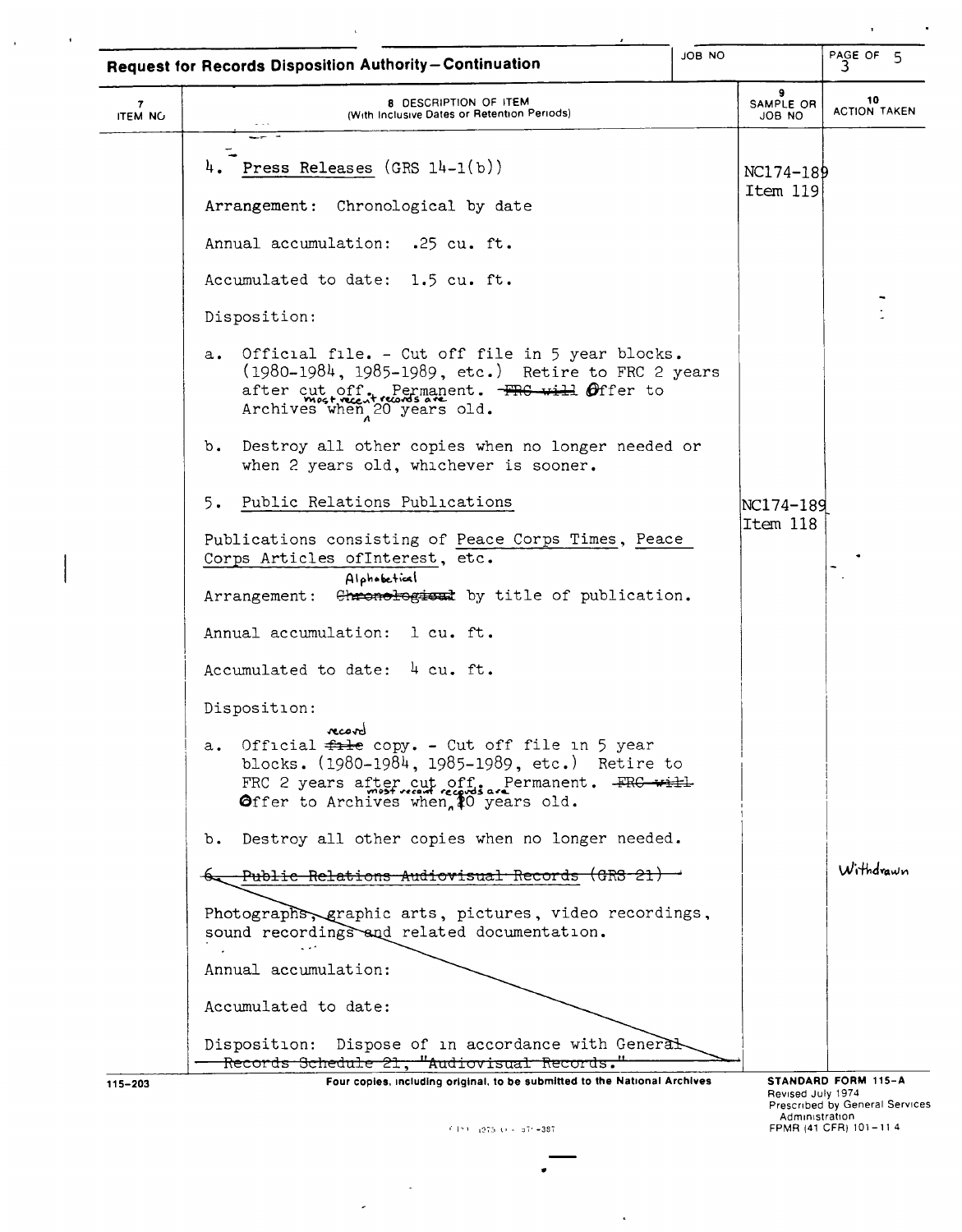|                                | Request for Records Disposition Authority-Continuation                                                                                                                                                                  | JOB NO |                                     | PAGE OF $5\overline{3}$                                 |
|--------------------------------|-------------------------------------------------------------------------------------------------------------------------------------------------------------------------------------------------------------------------|--------|-------------------------------------|---------------------------------------------------------|
| $\mathbf{7}$<br><b>ITEM NO</b> | 8 DESCRIPTION OF ITEM<br>(With Inclusive Dates or Retention Periods)                                                                                                                                                    |        | 9<br>SAMPLE OR<br>ON 8OL            | 10<br><b>ACTION TAKEN</b>                               |
|                                | --                                                                                                                                                                                                                      |        |                                     |                                                         |
|                                | Press Releases $(GRS 14-1(b))$<br>4.                                                                                                                                                                                    |        | NC174-189<br>Item 119               |                                                         |
|                                | Arrangement: Chronological by date                                                                                                                                                                                      |        |                                     |                                                         |
|                                | Annual accumulation: .25 cu. ft.                                                                                                                                                                                        |        |                                     |                                                         |
|                                | Accumulated to date: 1.5 cu. ft.                                                                                                                                                                                        |        |                                     |                                                         |
|                                | Disposition:                                                                                                                                                                                                            |        |                                     |                                                         |
|                                | Official file. - Cut off file in 5 year blocks.<br>$\mathbf{a}$ .<br>(1980-1984, 1985-1989, etc.) Retire to FRC 2 years<br>after cut off. Permanent. FRG will Offer to<br>Archives when 20 years old.                   |        |                                     |                                                         |
|                                | Destroy all other copies when no longer needed or<br>$b_{\bullet}$<br>when 2 years old, whichever is sooner.                                                                                                            |        |                                     |                                                         |
|                                | Public Relations Publications<br>5.                                                                                                                                                                                     |        | NC174-189                           |                                                         |
|                                | Publications consisting of Peace Corps Times, Peace<br>Corps Articles ofInterest, etc.                                                                                                                                  |        | Item 118                            |                                                         |
|                                | Alphobetical<br>Arrangement: Chronological by title of publication.                                                                                                                                                     |        |                                     |                                                         |
|                                | Annual accumulation: l cu. ft.                                                                                                                                                                                          |        |                                     |                                                         |
|                                | Accumulated to date: 4 cu. ft.                                                                                                                                                                                          |        |                                     |                                                         |
|                                | Disposition:                                                                                                                                                                                                            |        |                                     |                                                         |
|                                | Official $f$ <sub>1</sub> + copy. - Cut off file in 5 year<br>$a_{\bullet}$<br>blocks. (1980-1984, 1985-1989, etc.) Retire to<br>FRC 2 years after cut off. Permanent. FRC will<br>Offer to Archives when 10 years old. |        |                                     |                                                         |
|                                | Destroy all other copies when no longer needed.<br>$b_{\bullet}$                                                                                                                                                        |        |                                     |                                                         |
|                                | Public Relations Audiovisual Records (GRS-21)                                                                                                                                                                           |        |                                     | Withdrawn                                               |
|                                | Photographs, graphic arts, pictures, video recordings,<br>sound recordings and related documentation.                                                                                                                   |        |                                     |                                                         |
|                                | Annual accumulation:                                                                                                                                                                                                    |        |                                     |                                                         |
|                                | Accumulated to date:                                                                                                                                                                                                    |        |                                     |                                                         |
|                                | Disposition: Dispose of in accordance with General<br>Records Schedule 21, "Audiovisual Records."                                                                                                                       |        |                                     |                                                         |
| 115-203                        | Four copies, including original, to be submitted to the National Archives                                                                                                                                               |        |                                     | STANDARD FORM 115-A                                     |
|                                | f Ent. (975 to - 571-387                                                                                                                                                                                                |        | Revised July 1974<br>Administration | Prescribed by General Services<br>FPMR (41 CFR) 101-114 |

 $\mathcal{A}$  and  $\mathcal{A}$  are  $\mathcal{A}$  . In the  $\mathcal{A}$ 

 $\sim 10^6$ 

 $\mathcal{A}_{\mathcal{A}}$  and  $\mathcal{A}_{\mathcal{A}}$  and  $\mathcal{A}_{\mathcal{A}}$ 

 $^{+0.19\pm0.12\%5-0.05-0.07\%}_{-0.07\%}$  =387.

 $\frac{1}{2}$ 

 $\overline{a}$ 

•

 $\epsilon$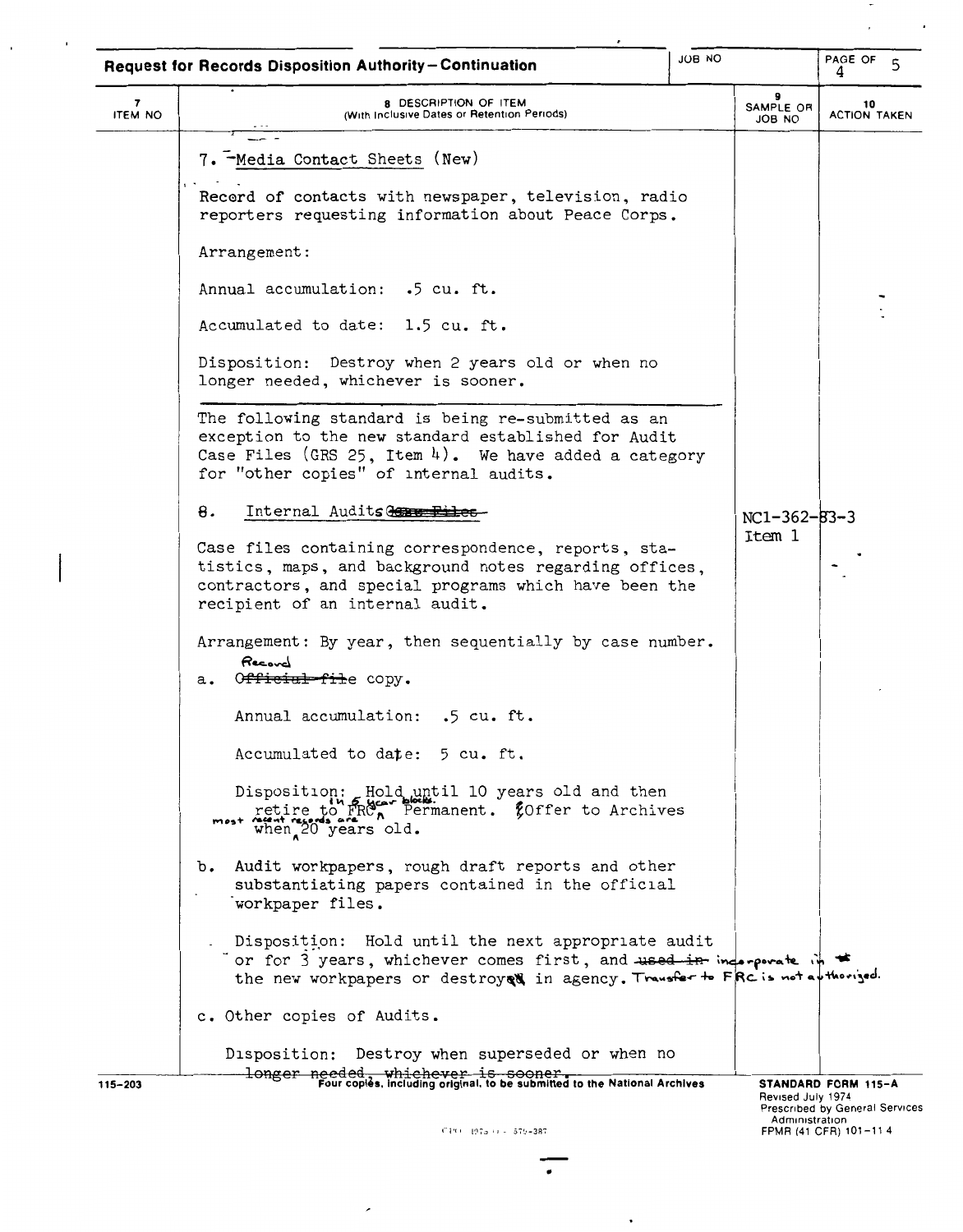|                                           | <b>Request for Records Disposition Authority-Continuation</b>                                                                                                                                                         | <b>JOB NO</b>       | PAGE OF<br>$\mathsf{S}$<br>4                                              |
|-------------------------------------------|-----------------------------------------------------------------------------------------------------------------------------------------------------------------------------------------------------------------------|---------------------|---------------------------------------------------------------------------|
| $\overline{\mathbf{z}}$<br><b>ITEM NO</b> | 8 DESCRIPTION OF ITEM<br>(With Inclusive Dates or Retention Periods)                                                                                                                                                  | SAMPLE OR<br>JOB NO | 10<br><b>ACTION TAKEN</b>                                                 |
|                                           | 7. - Media Contact Sheets (New)                                                                                                                                                                                       |                     |                                                                           |
|                                           | Record of contacts with newspaper, television, radio<br>reporters requesting information about Peace Corps.                                                                                                           |                     |                                                                           |
|                                           | Arrangement:                                                                                                                                                                                                          |                     |                                                                           |
|                                           | Annual accumulation: .5 cu. ft.                                                                                                                                                                                       |                     |                                                                           |
|                                           | Accumulated to date: 1.5 cu. ft.                                                                                                                                                                                      |                     |                                                                           |
|                                           | Disposition: Destroy when 2 years old or when no<br>longer needed, whichever is sooner.                                                                                                                               |                     |                                                                           |
|                                           | The following standard is being re-submitted as an<br>exception to the new standard established for Audit<br>Case Files (GRS 25, Item 4). We have added a category<br>for "other copies" of internal audits.          |                     |                                                                           |
|                                           | 8.<br>Internal Audits to the Eiles                                                                                                                                                                                    | NC1-362-B3-3        |                                                                           |
|                                           | Case files containing correspondence, reports, sta-<br>tistics, maps, and background notes regarding offices,<br>contractors, and special programs which have been the<br>recipient of an internal audit.             | Item 1              |                                                                           |
|                                           | Arrangement: By year, then sequentially by case number.<br>Record<br>O <del>fficial fil</del> e copy.<br>a.                                                                                                           |                     |                                                                           |
|                                           | Annual accumulation: .5 cu. ft.                                                                                                                                                                                       |                     |                                                                           |
|                                           | Accumulated to date: 5 cu. ft.                                                                                                                                                                                        |                     |                                                                           |
|                                           | Disposition: Hold until 10 years old and then<br>retire to FRC, Permanent. Coffer to Archives<br>most reg<br>when 20 years old.                                                                                       |                     |                                                                           |
|                                           | Audit workpapers, rough draft reports and other<br>$b_{\bullet}$<br>substantiating papers contained in the official<br>workpaper files.                                                                               |                     |                                                                           |
|                                           | Disposition: Hold until the next appropriate audit<br>or for 3 years, whichever comes first, and <del>used in</del> inderperate in *<br>the new workpapers or destroyed in agency. Transfer to FRC is not apthorized. |                     |                                                                           |
|                                           | c. Other copies of Audits.                                                                                                                                                                                            |                     |                                                                           |
|                                           | Disposition: Destroy when superseded or when no                                                                                                                                                                       |                     |                                                                           |
| 115-203                                   | longer needed, whichever is sooner.<br>Fourcopies, including original, to be submitted to the National Archives                                                                                                       |                     | <b>STANDARD FORM 115-A</b>                                                |
|                                           | (14) 1975 () - 579-387                                                                                                                                                                                                | Revised July 1974   | Prescribed by General Services<br>Administration<br>FPMR (41 CFR) 101-114 |

 $\bar{z}$ 

 $\mathbf{r}$ 

 $\overline{\phantom{a}}$ 

 $\frac{1}{2}$   $\frac{1}{2}$   $\frac{1}{2}$ 

 $\overline{\phantom{a}}$ 

 $\cdot$